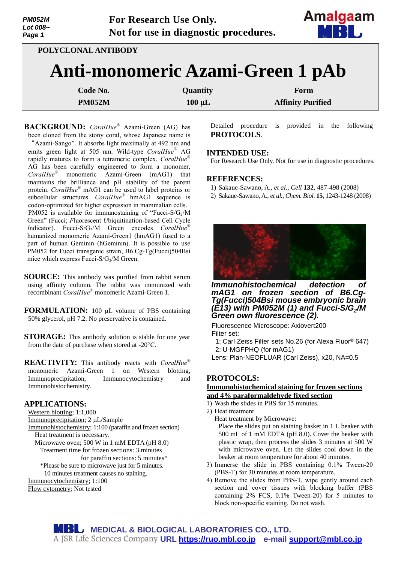| <b>PM052M</b><br>Lot 008~<br>Page 1 | For Research Use Only.<br>Not for use in diagnostic procedures. | Amalgaam<br>MBL |
|-------------------------------------|-----------------------------------------------------------------|-----------------|
| POLYCLONAL ANTIBODY                 |                                                                 |                 |
|                                     | Anti-monomeric Azami-Green 1 pAb                                |                 |

| Code No.      | <b>Quantity</b> | Form                     |
|---------------|-----------------|--------------------------|
| <b>PM052M</b> | $100 \mu L$     | <b>Affinity Purified</b> |

**BACKGROUND:** *CoralHue*® Azami-Green (AG) has been cloned from the stony coral, whose Japanese name is "Azami-Sango". It absorbs light maximally at 492 nm and emits green light at 505 nm. Wild-type *CoralHue*® AG rapidly matures to form a tetrameric complex. *CoralHue*® AG has been carefully engineered to form a monomer, *CoralHue*® monomeric Azami-Green (mAG1) that maintains the brilliance and pH stability of the parent protein. *CoralHue*® mAG1 can be used to label proteins or subcellular structures. *CoralHue*® hmAG1 sequence is codon-optimized for higher expression in mammalian cells. PM052 is available for immunostaining of "Fucci-S/G<sub>2</sub>/M Green" (Fucci; *F*luorescent *U*biquitination-based *C*ell *C*ycle *Indicator*). Fucci-S/G<sub>2</sub>/M Green encodes *CoralHue®* humanized monomeric Azami-Green1 (hmAG1) fused to a part of human Geminin (hGeminin). It is possible to use PM052 for Fucci transgenic strain, B6.Cg-Tg(Fucci)504Bsi mice which express Fucci-S/G<sub>2</sub>/M Green.

- **SOURCE:** This antibody was purified from rabbit serum using affinity column. The rabbit was immunized with recombinant *CoralHue*® monomeric Azami-Green 1.
- **FORMULATION:** 100 µL volume of PBS containing 50% glycerol, pH 7.2. No preservative is contained.
- **STORAGE:** This antibody solution is stable for one year from the date of purchase when stored at -20°C.

**REACTIVITY:** This antibody reacts with *CoralHue*® monomeric Azami-Green 1 on Western blotting, Immunoprecipitation, Immunocytochemistry and Immunohistochemistry.

### **APPLICATIONS:**

- Western blotting; 1:1,000
- Immunoprecipitation; 2 µL/Sample
- Immunohistochemistry; 1:100 (paraffin and frozen section) Heat treatment is necessary.
	- Microwave oven; 500 W in 1 mM EDTA (pH 8.0) Treatment time for frozen sections: 3 minutes for paraffin sections: 5 minutes\*
	- \*Please be sure to microwave just for 5 minutes.
	- 10 minutes treatment causes no staining.
- Immunocytochemistry; 1:100

Flow cytometry; Not tested

Detailed procedure is provided in the following **PROTOCOLS**.

### **INTENDED USE:**

For Research Use Only. Not for use in diagnostic procedures.

### **REFERENCES:**

- 1) Sakaue-Sawano, A., *et al., Cell* **132**, 487-498 (2008)
- 2) Sakaue-Sawano, A., *et al., Chem. Biol*. **15**, 1243-1248 (2008)



*Immunohistochemical detection of mAG1 on frozen section of B6.Cg-Tg(Fucci)504Bsi mouse embryonic brain (E13) with PM052M (1) and Fucci-S/G<sup>2</sup> /M Green own fluorescence (2).*

Fluorescence Microscope: Axiovert200 Filter set:

1: Carl Zeiss Filter sets No.26 (for Alexa Fluor® 647) 2: U-MGFPHQ (for mAG1)

Lens: Plan-NEOFLUAR (Carl Zeiss), x20, NA=0.5

# **PROTOCOLS:**

### **Immunohistochemical staining for frozen sections and 4% paraformaldehyde fixed section**

- 1) Wash the slides in PBS for 15 minutes.
- 2) Heat treatment

Heat treatment by Microwave: Place the slides put on staining basket in 1 L beaker with 500 mL of 1 mM EDTA (pH 8.0). Cover the beaker with plastic wrap, then process the slides 3 minutes at 500 W with microwave oven. Let the slides cool down in the beaker at room temperature for about 40 minutes.

- 3) Immerse the slide in PBS containing 0.1% Tween-20 (PBS-T) for 30 minutes at room temperature.
- 4) Remove the slides from PBS-T, wipe gently around each section and cover tissues with blocking buffer (PBS containing 2% FCS, 0.1% Tween-20) for 5 minutes to block non-specific staining. Do not wash.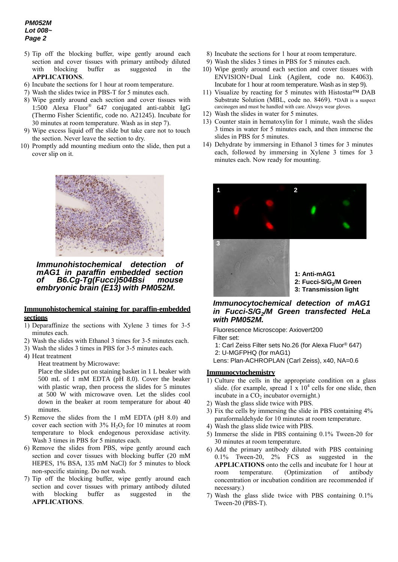## *PM052M Lot 008~ Page 2*

- 5) Tip off the blocking buffer, wipe gently around each section and cover tissues with primary antibody diluted with blocking buffer as suggested in the **APPLICATIONS**.
- 6) Incubate the sections for 1 hour at room temperature.
- 7) Wash the slides twice in PBS-T for 5 minutes each.
- 8) Wipe gently around each section and cover tissues with 1:500 Alexa Fluor® 647 conjugated anti-rabbit IgG (Thermo Fisher Scientific, code no. A21245). Incubate for 30 minutes at room temperature. Wash as in step 7).
- 9) Wipe excess liquid off the slide but take care not to touch the section. Never leave the section to dry.
- 10) Promptly add mounting medium onto the slide, then put a cover slip on it.



*Immunohistochemical detection of mAG1 in paraffin embedded section of B6.Cg-Tg(Fucci)504Bsi mouse embryonic brain (E13) with PM052M.*

### **Immunohistochemical staining for paraffin-embedded sections**

- 1) Deparaffinize the sections with Xylene 3 times for 3-5 minutes each.
- 2) Wash the slides with Ethanol 3 times for 3-5 minutes each.
- 3) Wash the slides 3 times in PBS for 3-5 minutes each.
- 4) Heat treatment

Heat treatment by Microwave:

Place the slides put on staining basket in 1 L beaker with 500 mL of 1 mM EDTA (pH 8.0). Cover the beaker with plastic wrap, then process the slides for 5 minutes at 500 W with microwave oven. Let the slides cool down in the beaker at room temperature for about 40 minutes.

- 5) Remove the slides from the 1 mM EDTA (pH 8.0) and cover each section with  $3\%$  H<sub>2</sub>O<sub>2</sub> for 10 minutes at room temperature to block endogenous peroxidase activity. Wash 3 times in PBS for 5 minutes each.
- 6) Remove the slides from PBS, wipe gently around each section and cover tissues with blocking buffer (20 mM HEPES, 1% BSA, 135 mM NaCl) for 5 minutes to block non-specific staining. Do not wash.
- 7) Tip off the blocking buffer, wipe gently around each section and cover tissues with primary antibody diluted with blocking buffer as suggested in the **APPLICATIONS**.
- 8) Incubate the sections for 1 hour at room temperature.
- 9) Wash the slides 3 times in PBS for 5 minutes each.
- 10) Wipe gently around each section and cover tissues with ENVISION+Dual Link (Agilent, code no. K4063). Incubate for 1 hour at room temperature. Wash as in step 9).
- 11) Visualize by reacting for 5 minutes with Histostar™ DAB Substrate Solution (MBL, code no. 8469). \*DAB is a suspect carcinogen and must be handled with care. Always wear gloves.
- 12) Wash the slides in water for 5 minutes.
- 13) Counter stain in hematoxylin for 1 minute, wash the slides 3 times in water for 5 minutes each, and then immerse the slides in PBS for 5 minutes.
- 14) Dehydrate by immersing in Ethanol 3 times for 3 minutes each, followed by immersing in Xylene 3 times for 3 minutes each. Now ready for mounting.



**1: Anti-mAG1 2: Fucci-S/G<sup>2</sup> /M Green 3: Transmission light**

## *Immunocytochemical detection of mAG1 in Fucci-S/G<sup>2</sup> /M Green transfected HeLa with PM052M.*

Fluorescence Microscope: Axiovert200

Filter set:

1: Carl Zeiss Filter sets No.26 (for Alexa Fluor® 647) 2: U-MGFPHQ (for mAG1)

Lens: Plan-ACHROPLAN (Carl Zeiss), x40, NA=0.6

### **Immunocytochemistry**

- 1) Culture the cells in the appropriate condition on a glass slide. (for example, spread  $1 \times 10^4$  cells for one slide, then incubate in a  $CO<sub>2</sub>$  incubator overnight.)
- 2) Wash the glass slide twice with PBS.
- 3) Fix the cells by immersing the slide in PBS containing 4% paraformaldehyde for 10 minutes at room temperature.
- 4) Wash the glass slide twice with PBS.
- 5) Immerse the slide in PBS containing 0.1% Tween-20 for 30 minutes at room temperature.
- 6) Add the primary antibody diluted with PBS containing 0.1% Tween-20, 2% FCS as suggested in the **APPLICATIONS** onto the cells and incubate for 1 hour at room temperature. (Optimization of antibody concentration or incubation condition are recommended if necessary.)
- 7) Wash the glass slide twice with PBS containing 0.1% Tween-20 (PBS-T).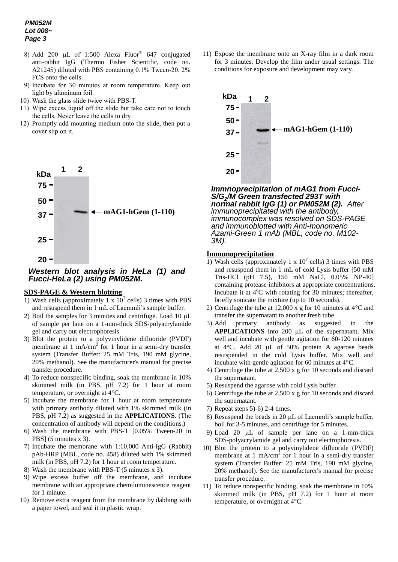- 8) Add 200  $\mu$ L of 1:500 Alexa Fluor® 647 conjugated anti-rabbit IgG (Thermo Fisher Scientific, code no. A21245) diluted with PBS containing 0.1% Tween-20, 2% FCS onto the cells.
- 9) Incubate for 30 minutes at room temperature. Keep out light by aluminum foil.
- 10) Wash the glass slide twice with PBS-T.
- 11) Wipe excess liquid off the slide but take care not to touch the cells. Never leave the cells to dry.
- 12) Promptly add mounting medium onto the slide, then put a cover slip on it.



# *Western blot analysis in HeLa (1) and Fucci-HeLa (2) using PM052M.*

# **SDS-PAGE & Western blotting**

- 1) Wash cells (approximately  $1 \times 10^7$  cells) 3 times with PBS and resuspend them in 1 mL of Laemmli's sample buffer.
- 2) Boil the samples for 3 minutes and centrifuge. Load 10  $\mu$ L of sample per lane on a 1-mm-thick SDS-polyacrylamide gel and carry out electrophoresis.
- 3) Blot the protein to a polyvinylidene difluoride (PVDF) membrane at 1 mA/cm<sup>2</sup> for 1 hour in a semi-dry transfer system (Transfer Buffer: 25 mM Tris, 190 mM glycine, 20% methanol). See the manufacturer's manual for precise transfer procedure.
- 4) To reduce nonspecific binding, soak the membrane in 10% skimmed milk (in PBS, pH 7.2) for 1 hour at room temperature, or overnight at 4°C.
- 5) Incubate the membrane for 1 hour at room temperature with primary antibody diluted with 1% skimmed milk (in PBS, pH 7.2) as suggested in the **APPLICATIONS**. (The concentration of antibody will depend on the conditions.)
- 6) Wash the membrane with PBS-T [0.05% Tween-20 in PBS] (5 minutes x 3).
- 7) Incubate the membrane with 1:10,000 Anti-IgG (Rabbit) pAb-HRP (MBL, code no. 458) diluted with 1% skimmed milk (in PBS, pH 7.2) for 1 hour at room temperature.
- 8) Wash the membrane with PBS-T (5 minutes x 3).
- 9) Wipe excess buffer off the membrane, and incubate membrane with an appropriate chemiluminescence reagent for 1 minute.
- 10) Remove extra reagent from the membrane by dabbing with a paper towel, and seal it in plastic wrap.

11) Expose the membrane onto an X-ray film in a dark room for 3 minutes. Develop the film under usual settings. The conditions for exposure and development may vary.



*Immunoprecipitation of mAG1 from Fucci-Immnoprecipitation of mAG1 from Fucci-S/G<sup>2</sup> /M Green transfected 293T with S/G<sup>2</sup> /M Green transfected 293T with normal rabbit IgG (1) or PM052M (2). After immunoprecipitated with the antibody, immunocomplex was resolved on SDS-PAGE immunocomplex was resolved on SDS-PAGE and immunoblotted with Anti-monomeric and immunoblotted with Anti-monomeric Azami-Green 1 mAb (MBL; code no.M102- Azami-Green 1 mAb (MBL, code no. M102- 3M). 3M).normal rabbit IgG (1) or PM052M (2). After immunoprecipitated with the antibody,* 

### **Immunoprecipitation**

- 1) Wash cells (approximately 1 x  $10^7$  cells) 3 times with PBS and resuspend them in 1 mL of cold Lysis buffer [50 mM Tris-HCl (pH 7.5), 150 mM NaCl, 0.05% NP-40] containing protease inhibitors at appropriate concentrations. Incubate it at  $4^{\circ}$ C with rotating for 30 minutes; thereafter, briefly sonicate the mixture (up to 10 seconds).
- 2) Centrifuge the tube at 12,000 x g for 10 minutes at 4°C and transfer the supernatant to another fresh tube.
- 3) Add primary antibody as suggested in the **APPLICATIONS** into 200  $\mu$ L of the supernatant. Mix well and incubate with gentle agitation for 60-120 minutes at  $4^{\circ}$ C. Add 20 µL of 50% protein A agarose beads resuspended in the cold Lysis buffer. Mix well and incubate with gentle agitation for 60 minutes at 4°C.
- 4) Centrifuge the tube at 2,500 x g for 10 seconds and discard the supernatant.
- 5) Resuspend the agarose with cold Lysis buffer.
- 6) Centrifuge the tube at 2,500 x g for 10 seconds and discard the supernatant.
- 7) Repeat steps 5)-6) 2-4 times.
- 8) Resuspend the beads in 20  $\mu$ L of Laemmli's sample buffer, boil for 3-5 minutes, and centrifuge for 5 minutes.
- 9) Load 20 µL of sample per lane on a 1-mm-thick SDS-polyacrylamide gel and carry out electrophoresis.
- 10) Blot the protein to a polyvinylidene difluoride (PVDF) membrane at 1 mA/cm<sup>2</sup> for 1 hour in a semi-dry transfer system (Transfer Buffer: 25 mM Tris, 190 mM glycine, 20% methanol). See the manufacturer's manual for precise transfer procedure.
- 11) To reduce nonspecific binding, soak the membrane in 10% skimmed milk (in PBS, pH 7.2) for 1 hour at room temperature, or overnight at 4°C.